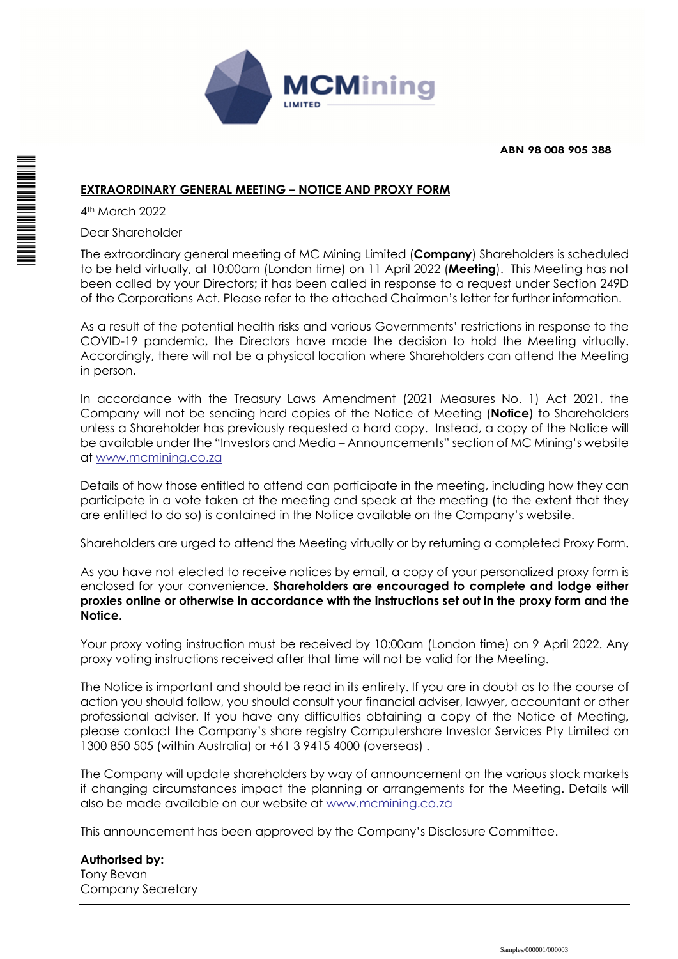

**ABN 98 008 905 388**

## **EXTRAORDINARY GENERAL MEETING – NOTICE AND PROXY FORM**

4th March 2022

Dear Shareholder

The extraordinary general meeting of MC Mining Limited (**Company**) Shareholders is scheduled to be held virtually, at 10:00am (London time) on 11 April 2022 (**Meeting**). This Meeting has not been called by your Directors; it has been called in response to a request under Section 249D of the Corporations Act. Please refer to the attached Chairman's letter for further information.

As a result of the potential health risks and various Governments' restrictions in response to the COVID-19 pandemic, the Directors have made the decision to hold the Meeting virtually. Accordingly, there will not be a physical location where Shareholders can attend the Meeting in person.

In accordance with the Treasury Laws Amendment (2021 Measures No. 1) Act 2021, the Company will not be sending hard copies of the Notice of Meeting (**Notice**) to Shareholders unless a Shareholder has previously requested a hard copy. Instead, a copy of the Notice will be available under the "Investors and Media – Announcements" section of MC Mining's website at www.mcmining.co.za

Details of how those entitled to attend can participate in the meeting, including how they can participate in a vote taken at the meeting and speak at the meeting (to the extent that they are entitled to do so) is contained in the Notice available on the Company's website.

Shareholders are urged to attend the Meeting virtually or by returning a completed Proxy Form.

As you have not elected to receive notices by email, a copy of your personalized proxy form is enclosed for your convenience. **Shareholders are encouraged to complete and lodge either proxies online or otherwise in accordance with the instructions set out in the proxy form and the Notice**.

Your proxy voting instruction must be received by 10:00am (London time) on 9 April 2022. Any proxy voting instructions received after that time will not be valid for the Meeting.

The Notice is important and should be read in its entirety. If you are in doubt as to the course of action you should follow, you should consult your financial adviser, lawyer, accountant or other professional adviser. If you have any difficulties obtaining a copy of the Notice of Meeting, please contact the Company's share registry Computershare Investor Services Pty Limited on 1300 850 505 (within Australia) or +61 3 9415 4000 (overseas) .

The Company will update shareholders by way of announcement on the various stock markets if changing circumstances impact the planning or arrangements for the Meeting. Details will also be made available on our website at www.mcmining.co.za

This announcement has been approved by the Company's Disclosure Committee.

**Authorised by:**  Tony Bevan Company Secretary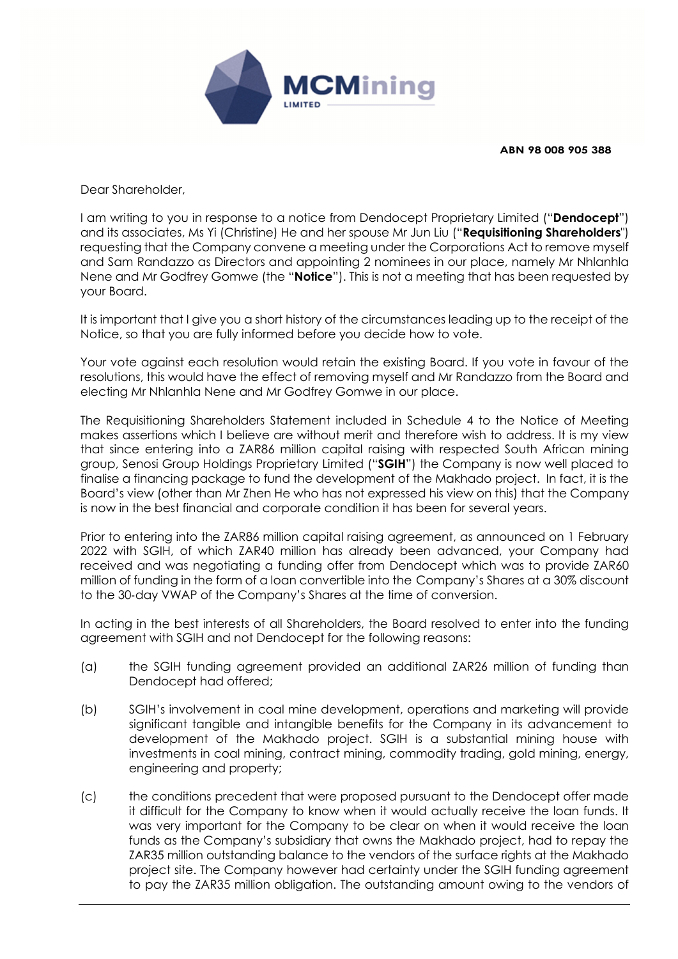

**ABN 98 008 905 388**

Dear Shareholder,

I am writing to you in response to a notice from Dendocept Proprietary Limited ("**Dendocept**") and its associates, Ms Yi (Christine) He and her spouse Mr Jun Liu ("**Requisitioning Shareholders**") requesting that the Company convene a meeting under the Corporations Act to remove myself and Sam Randazzo as Directors and appointing 2 nominees in our place, namely Mr Nhlanhla Nene and Mr Godfrey Gomwe (the "**Notice**"). This is not a meeting that has been requested by your Board.

It is important that I give you a short history of the circumstances leading up to the receipt of the Notice, so that you are fully informed before you decide how to vote.

Your vote against each resolution would retain the existing Board. If you vote in favour of the resolutions, this would have the effect of removing myself and Mr Randazzo from the Board and electing Mr Nhlanhla Nene and Mr Godfrey Gomwe in our place.

The Requisitioning Shareholders Statement included in Schedule 4 to the Notice of Meeting makes assertions which I believe are without merit and therefore wish to address. It is my view that since entering into a ZAR86 million capital raising with respected South African mining group, Senosi Group Holdings Proprietary Limited ("**SGIH**") the Company is now well placed to finalise a financing package to fund the development of the Makhado project. In fact, it is the Board's view (other than Mr Zhen He who has not expressed his view on this) that the Company is now in the best financial and corporate condition it has been for several years.

Prior to entering into the ZAR86 million capital raising agreement, as announced on 1 February 2022 with SGIH, of which ZAR40 million has already been advanced, your Company had received and was negotiating a funding offer from Dendocept which was to provide ZAR60 million of funding in the form of a loan convertible into the Company's Shares at a 30% discount to the 30‐day VWAP of the Company's Shares at the time of conversion.

In acting in the best interests of all Shareholders, the Board resolved to enter into the funding agreement with SGIH and not Dendocept for the following reasons:

- (a) the SGIH funding agreement provided an additional ZAR26 million of funding than Dendocept had offered;
- (b) SGIH's involvement in coal mine development, operations and marketing will provide significant tangible and intangible benefits for the Company in its advancement to development of the Makhado project. SGIH is a substantial mining house with investments in coal mining, contract mining, commodity trading, gold mining, energy, engineering and property;
- (c) the conditions precedent that were proposed pursuant to the Dendocept offer made it difficult for the Company to know when it would actually receive the loan funds. It was very important for the Company to be clear on when it would receive the loan funds as the Company's subsidiary that owns the Makhado project, had to repay the ZAR35 million outstanding balance to the vendors of the surface rights at the Makhado project site. The Company however had certainty under the SGIH funding agreement to pay the ZAR35 million obligation. The outstanding amount owing to the vendors of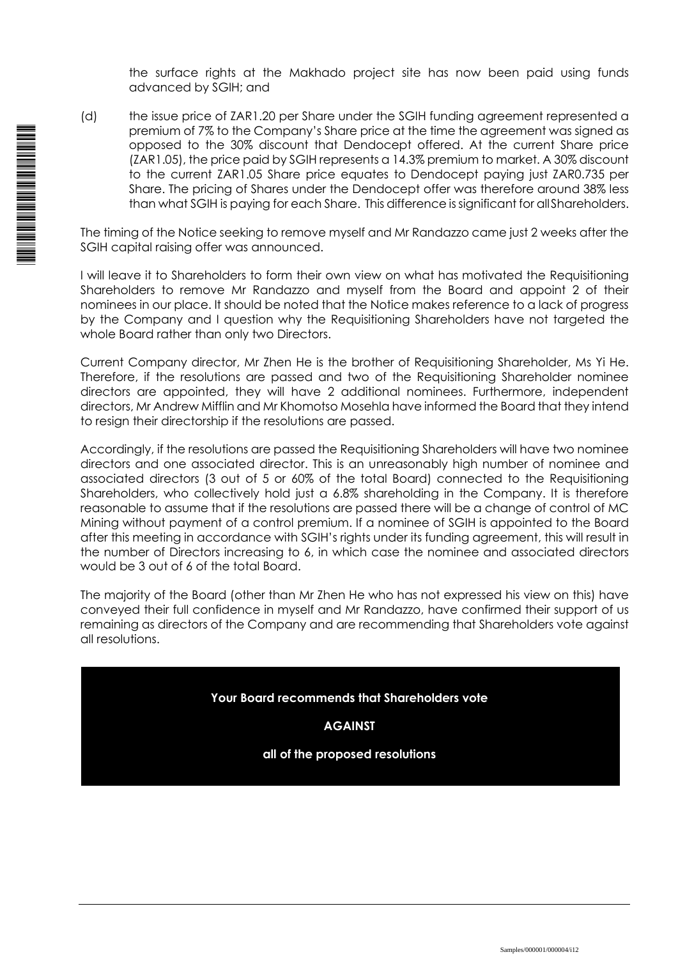the surface rights at the Makhado project site has now been paid using funds advanced by SGIH; and

(d) the issue price of ZAR1.20 per Share under the SGIH funding agreement represented a premium of 7% to the Company's Share price at the time the agreement was signed as opposed to the 30% discount that Dendocept offered. At the current Share price (ZAR1.05), the price paid by SGIH represents a 14.3% premium to market. A 30% discount to the current ZAR1.05 Share price equates to Dendocept paying just ZAR0.735 per Share. The pricing of Shares under the Dendocept offer was therefore around 38% less than what SGIH is paying for each Share. This difference is significant for all Shareholders.

The timing of the Notice seeking to remove myself and Mr Randazzo came just 2 weeks after the SGIH capital raising offer was announced.

I will leave it to Shareholders to form their own view on what has motivated the Requisitioning Shareholders to remove Mr Randazzo and myself from the Board and appoint 2 of their nominees in our place. It should be noted that the Notice makes reference to a lack of progress by the Company and I question why the Requisitioning Shareholders have not targeted the whole Board rather than only two Directors.

Current Company director, Mr Zhen He is the brother of Requisitioning Shareholder, Ms Yi He. Therefore, if the resolutions are passed and two of the Requisitioning Shareholder nominee directors are appointed, they will have 2 additional nominees. Furthermore, independent directors, Mr Andrew Mifflin and Mr Khomotso Mosehla have informed the Board that they intend to resign their directorship if the resolutions are passed.

Accordingly, if the resolutions are passed the Requisitioning Shareholders will have two nominee directors and one associated director. This is an unreasonably high number of nominee and associated directors (3 out of 5 or 60% of the total Board) connected to the Requisitioning Shareholders, who collectively hold just a 6.8% shareholding in the Company. It is therefore reasonable to assume that if the resolutions are passed there will be a change of control of MC Mining without payment of a control premium. If a nominee of SGIH is appointed to the Board after this meeting in accordance with SGIH's rights under its funding agreement, this will result in the number of Directors increasing to 6, in which case the nominee and associated directors would be 3 out of 6 of the total Board.

The majority of the Board (other than Mr Zhen He who has not expressed his view on this) have conveyed their full confidence in myself and Mr Randazzo, have confirmed their support of us remaining as directors of the Company and are recommending that Shareholders vote against all resolutions.

**Your Board recommends that Shareholders vote** 

**AGAINST** 

**all of the proposed resolutions**